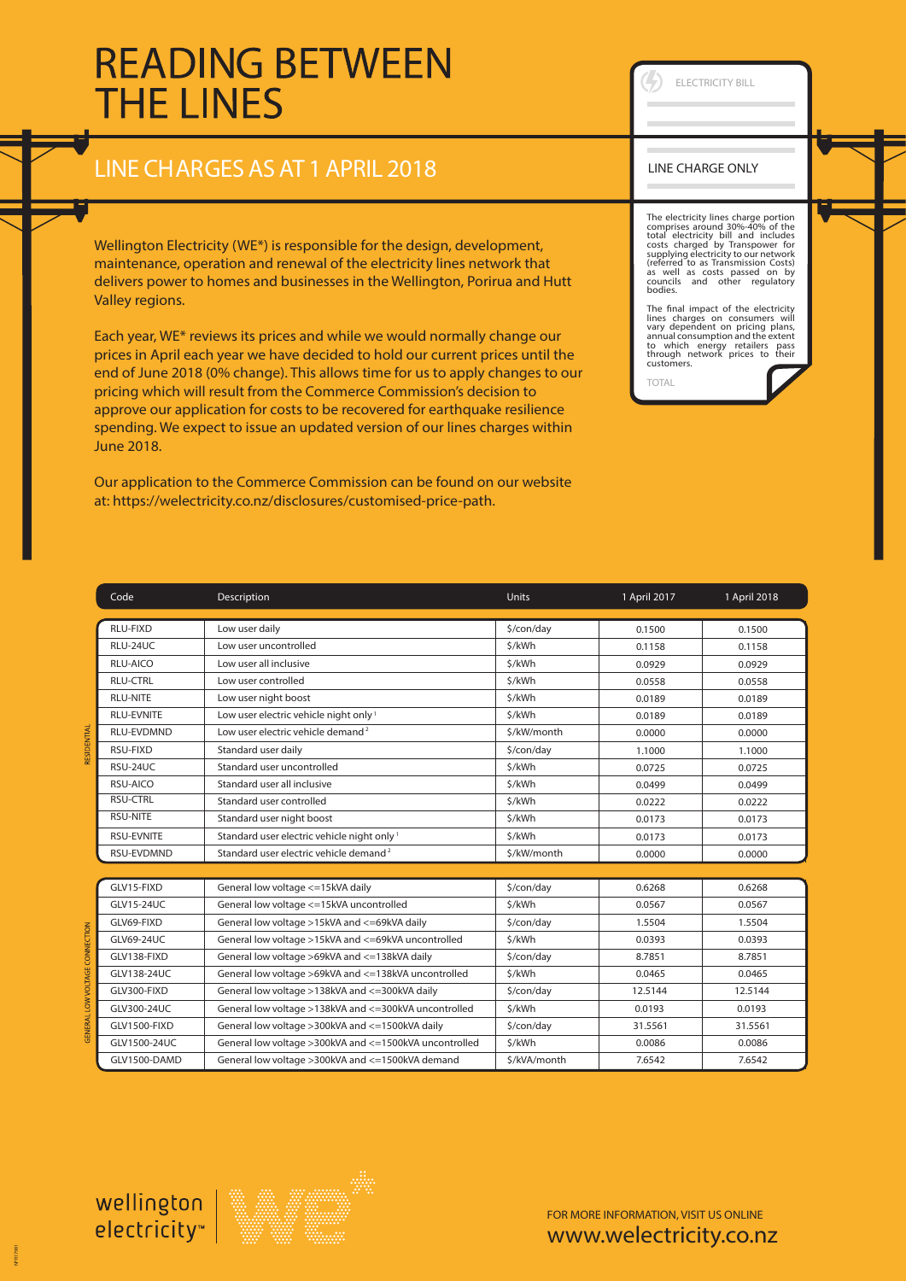## **READING BETWEEN THE LINES**

## LINE CHARGESASAT 1APRIL 2018

Wellington Electricity (WE\*) is responsible for the design, development, maintenance, operation and renewal of the electricity lines network that delivers power to homes and businesses in the Wellington, Porirua and Hutt Valley regions.

Each year, WE\* reviews its prices and while we would normally change our prices in April each year we have decided to hold our current prices until the end of June 2018 (0% change). This allows time for us to apply changes to our pricing which will result from the Commerce Commission's decision to approve our application for costs to be recovered for earthquake resilience spending. We expect to issue an updated version of our lines charges within June 2018.

Our application to the Commerce Commission can be found on our website at: https://welectricity.co.nz/disclosures/customised-price-path.

Code Description Units 1 April 2017 1 April 2018 RLU-FIXD Low user daily \$/con/day 0.1500 0.1500 RLU-24UC Low user uncontrolled <br>
S/kWh 0.1158 0.1158 0.1158 RLU-AICO RELOW Low user all inclusive the state of the state of the S/kWh 0.0929 (1.0929 (1.0929 (1.0929 (1.0929 RLU-CTRL Low user controlled \$/kWh 0.0558 RLU-NITE RUNITE RUSSER Low user night boost the community of the community of the community of the community of the community of the community of the community of the community of the community of the community of the comm RLU-EVNITE Low user electric vehicle night only 1 \$/kWh 3/kWh 0.0189 0.0189 0.0189 RLU-EVDMND Low user electric vehicle demand<sup>2</sup> 5/kW/month 0.0000 0.0000 0.0000 RSU-FIXD Standard user daily \$/con/day 1.1000 RSU-24UC Standard user uncontrolled a standard standard user uncontrolled standard standard standard standard standard standard standard standard standard standard standard standard standard standard standard standard stan RSU-AICO Standard user all inclusive the standard user all inclusive the standard value of the standard user all inclusive the standard standard user all inclusive the standard standard standard user all inclusive the stan RSU-CTRL Standard user controlled \$/kWh 3/6 0.0222 0.0222 0.0222 RSU-NITE Standard user night boost 5/kWh 5/kWh 0.0173 0.0173 0.0173 RSU-EVNITE Standard user electric vehicle night only 1 \$/kWh 0.0173 0.0173 0.0173 RSU-EVDMND Standard user electric vehicle demand  $\frac{2}{3}$  Standard user electric vehicle demand  $\frac{2}{3}$  Standard user electric vehicle demand  $\frac{2}{3}$  Standard user electric vehicle demand  $\frac{2}{3}$ GLV15-FIXD General low voltage <=15kVA daily \$/con/day GLV15-24UC General low voltage <=15kVA uncontrolled \$/kWh GLV69-FIXD General low voltage >15kVA and <=69kVA daily \$/con/day GLV69-24UC General low voltage >15kVA and <=69kVA uncontrolled \$/kWh GLV138-FIXD General low voltage >69kVA and <=138kVA daily \$/con/day GLV138-24UC General low voltage >69kVA and <=138kVA uncontrolled \$/kWh GLV300-FIXD General low voltage >138kVA and <=300kVA daily \$/con/day GLV300-24UC General low voltage >138kVA and <=300kVA uncontrolled \$/kWh GLV1500-FIXD General low voltage >300kVA and <=1500kVA daily \$/con/day GLV1500-24UC General low voltage >300kVA and <=1500kVA uncontrolled \$/kWh GLV1500-DAMD General low voltage >300kVA and <=1500kVA demand \$/kVA/month 0.6268 0.0567 1.5504 0.0393 8.7851 0.0465 12.5144 0.0193 31.5561 0.0086 7.6542 0.1500 0.1158 0.0929 0.0558 0.0189 0.0189 0.0000 1.1000 0.0725  $0.0499$ 0.0222 0.0173 0.0173 0.0000 0.6268 0.0567 1.5504 0.0393 8.7851 0.0465 12.5144 0.0193 31.5561 0.0086 7.6542

ELECTRICITY BILL

The electricity lines charge portion comprises around 30%-40% of the total electricity bill and includes costs charged by Transpower for supplying electricity to our network (referred to as Transmission Costs) as well as costs passed on by councils and other regulatory bodies.

The final impact of the electricity<br>lines charges on consumers will lines charges on consumers will vary dependent on pricing plans, annual consumption and the extent to which energy retailers pass through network prices to their customers.

TOTAL